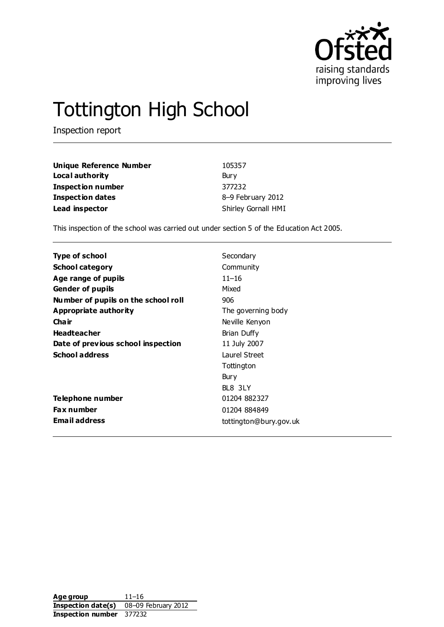

# Tottington High School

Inspection report

| <b>Unique Reference Number</b> | 105357              |
|--------------------------------|---------------------|
| Local authority                | Bury                |
| <b>Inspection number</b>       | 377232              |
| <b>Inspection dates</b>        | 8-9 February 2012   |
| Lead inspector                 | Shirley Gornall HMI |

This inspection of the school was carried out under section 5 of the Education Act 2005.

| Type of school                      | Secondary              |
|-------------------------------------|------------------------|
| <b>School category</b>              | Community              |
| Age range of pupils                 | $11 - 16$              |
| <b>Gender of pupils</b>             | Mixed                  |
| Number of pupils on the school roll | 906                    |
| Appropriate authority               | The governing body     |
| Cha ir                              | Neville Kenyon         |
| <b>Headteacher</b>                  | Brian Duffy            |
| Date of previous school inspection  | 11 July 2007           |
| <b>School address</b>               | <b>Laurel Street</b>   |
|                                     | Tottington             |
|                                     | Bury                   |
|                                     | BL8 3LY                |
| Telephone number                    | 01204 882327           |
| <b>Fax number</b>                   | 01204 884849           |
| <b>Email address</b>                | tottington@bury.gov.uk |

Age group 11–16 **Inspection date(s)** 08–09 February 2012 **Inspection number** 377232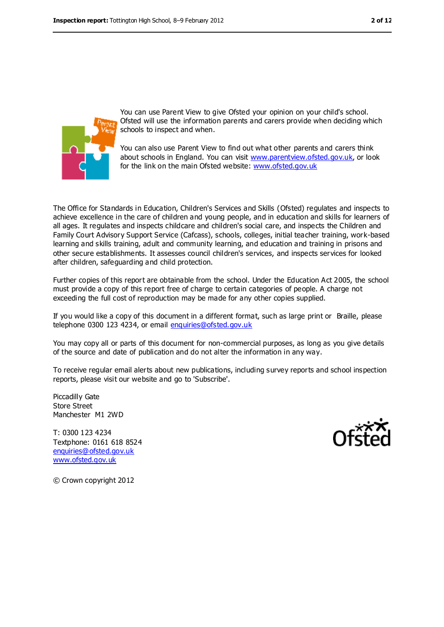

You can use Parent View to give Ofsted your opinion on your child's school. Ofsted will use the information parents and carers provide when deciding which schools to inspect and when.

You can also use Parent View to find out what other parents and carers think about schools in England. You can visit [www.parentview.ofsted.gov.uk,](../../../../sgornall/AppData/Local/AppData/Local/Microsoft/Windows/Temporary%20Internet%20Files/Low/Content.IE5/Content.IE5/I81WO4AD/www.parentview.ofsted.gov.uk) or look for the link on the main Ofsted website: [www.ofsted.gov.uk](../../../../sgornall/AppData/Local/AppData/Local/Microsoft/Windows/Temporary%20Internet%20Files/Low/Content.IE5/Content.IE5/I81WO4AD/www.ofsted.gov.uk)

The Office for Standards in Education, Children's Services and Skills (Ofsted) regulates and inspects to achieve excellence in the care of children and young people, and in education and skills for learners of all ages. It regulates and inspects childcare and children's social care, and inspects the Children and Family Court Advisory Support Service (Cafcass), schools, colleges, initial teacher training, work-based learning and skills training, adult and community learning, and education and training in prisons and other secure establishments. It assesses council children's services, and inspects services for looked after children, safeguarding and child protection.

Further copies of this report are obtainable from the school. Under the Education Act 2005, the school must provide a copy of this report free of charge to certain categories of people. A charge not exceeding the full cost of reproduction may be made for any other copies supplied.

If you would like a copy of this document in a different format, such as large print or Braille, please telephone 0300 123 4234, or email [enquiries@ofsted.gov.uk](mailto:enquiries@ofsted.gov.uk)

You may copy all or parts of this document for non-commercial purposes, as long as you give details of the source and date of publication and do not alter the information in any way.

To receive regular email alerts about new publications, including survey reports and school inspection reports, please visit our website and go to 'Subscribe'.

Piccadilly Gate Store Street Manchester M1 2WD

T: 0300 123 4234 Textphone: 0161 618 8524 [enquiries@ofsted.gov.uk](mailto:enquiries@ofsted.gov.uk) [www.ofsted.gov.uk](http://www.ofsted.gov.uk/)



© Crown copyright 2012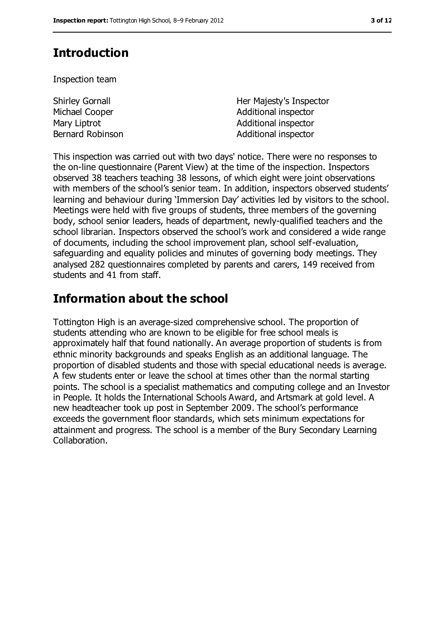# **Introduction**

Inspection team

| <b>Shirley Gornall</b> | Her Majesty's Inspector |
|------------------------|-------------------------|
| Michael Cooper         | Additional inspector    |
| Mary Liptrot           | Additional inspector    |
| Bernard Robinson       | Additional inspector    |

This inspection was carried out with two days' notice. There were no responses to the on-line questionnaire (Parent View) at the time of the inspection. Inspectors observed 38 teachers teaching 38 lessons, of which eight were joint observations with members of the school's senior team. In addition, inspectors observed students' learning and behaviour during 'Immersion Day' activities led by visitors to the school. Meetings were held with five groups of students, three members of the governing body, school senior leaders, heads of department, newly-qualified teachers and the school librarian. Inspectors observed the school's work and considered a wide range of documents, including the school improvement plan, school self-evaluation, safeguarding and equality policies and minutes of governing body meetings. They analysed 282 questionnaires completed by parents and carers, 149 received from students and 41 from staff.

## **Information about the school**

Tottington High is an average-sized comprehensive school. The proportion of students attending who are known to be eligible for free school meals is approximately half that found nationally. An average proportion of students is from ethnic minority backgrounds and speaks English as an additional language. The proportion of disabled students and those with special educational needs is average. A few students enter or leave the school at times other than the normal starting points. The school is a specialist mathematics and computing college and an Investor in People. It holds the International Schools Award, and Artsmark at gold level. A new headteacher took up post in September 2009. The school's performance exceeds the government floor standards, which sets minimum expectations for attainment and progress. The school is a member of the Bury Secondary Learning Collaboration.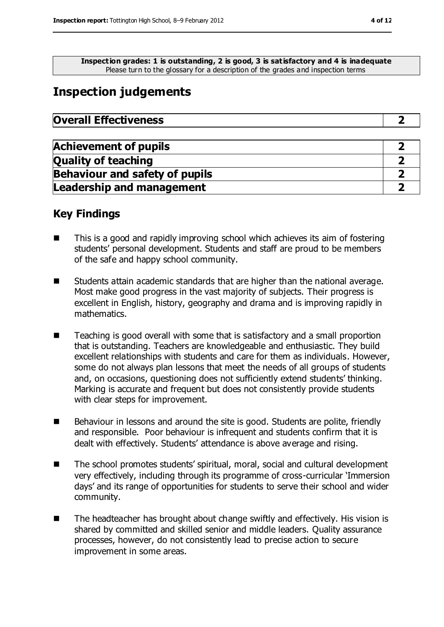**Inspection grades: 1 is outstanding, 2 is good, 3 is satisfactory and 4 is inadequate** Please turn to the glossary for a description of the grades and inspection terms

# **Inspection judgements**

| <b>Overall Effectiveness</b> |  |
|------------------------------|--|
|------------------------------|--|

| <b>Achievement of pupils</b>          |  |
|---------------------------------------|--|
| <b>Quality of teaching</b>            |  |
| <b>Behaviour and safety of pupils</b> |  |
| <b>Leadership and management</b>      |  |

### **Key Findings**

- This is a good and rapidly improving school which achieves its aim of fostering students' personal development. Students and staff are proud to be members of the safe and happy school community.
- Students attain academic standards that are higher than the national average. Most make good progress in the vast majority of subjects. Their progress is excellent in English, history, geography and drama and is improving rapidly in mathematics.
- Teaching is good overall with some that is satisfactory and a small proportion that is outstanding. Teachers are knowledgeable and enthusiastic. They build excellent relationships with students and care for them as individuals. However, some do not always plan lessons that meet the needs of all groups of students and, on occasions, questioning does not sufficiently extend students' thinking. Marking is accurate and frequent but does not consistently provide students with clear steps for improvement.
- Behaviour in lessons and around the site is good. Students are polite, friendly and responsible. Poor behaviour is infrequent and students confirm that it is dealt with effectively. Students' attendance is above average and rising.
- The school promotes students' spiritual, moral, social and cultural development very effectively, including through its programme of cross-curricular 'Immersion days' and its range of opportunities for students to serve their school and wider community.
- The headteacher has brought about change swiftly and effectively. His vision is shared by committed and skilled senior and middle leaders. Quality assurance processes, however, do not consistently lead to precise action to secure improvement in some areas.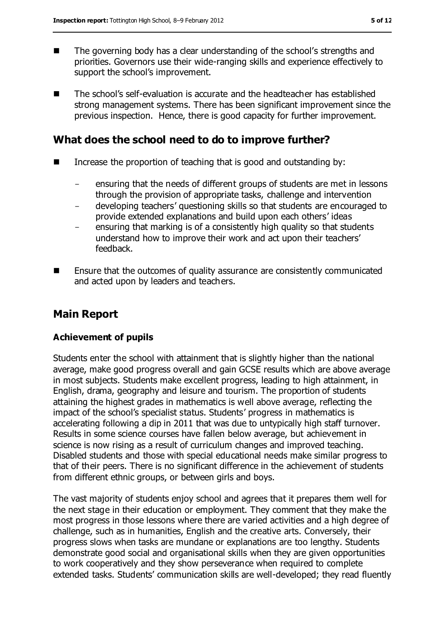- The governing body has a clear understanding of the school's strengths and priorities. Governors use their wide-ranging skills and experience effectively to support the school's improvement.
- The school's self-evaluation is accurate and the headteacher has established strong management systems. There has been significant improvement since the previous inspection. Hence, there is good capacity for further improvement.

### **What does the school need to do to improve further?**

- $\blacksquare$  Increase the proportion of teaching that is good and outstanding by:
	- ensuring that the needs of different groups of students are met in lessons through the provision of appropriate tasks, challenge and intervention
	- developing teachers' questioning skills so that students are encouraged to provide extended explanations and build upon each others' ideas
	- ensuring that marking is of a consistently high quality so that students understand how to improve their work and act upon their teachers' feedback.
- **Ensure that the outcomes of quality assurance are consistently communicated** and acted upon by leaders and teachers.

### **Main Report**

#### **Achievement of pupils**

Students enter the school with attainment that is slightly higher than the national average, make good progress overall and gain GCSE results which are above average in most subjects. Students make excellent progress, leading to high attainment, in English, drama, geography and leisure and tourism. The proportion of students attaining the highest grades in mathematics is well above average, reflecting the impact of the school's specialist status. Students' progress in mathematics is accelerating following a dip in 2011 that was due to untypically high staff turnover. Results in some science courses have fallen below average, but achievement in science is now rising as a result of curriculum changes and improved teaching. Disabled students and those with special educational needs make similar progress to that of their peers. There is no significant difference in the achievement of students from different ethnic groups, or between girls and boys.

The vast majority of students enjoy school and agrees that it prepares them well for the next stage in their education or employment. They comment that they make the most progress in those lessons where there are varied activities and a high degree of challenge, such as in humanities, English and the creative arts. Conversely, their progress slows when tasks are mundane or explanations are too lengthy. Students demonstrate good social and organisational skills when they are given opportunities to work cooperatively and they show perseverance when required to complete extended tasks. Students' communication skills are well-developed; they read fluently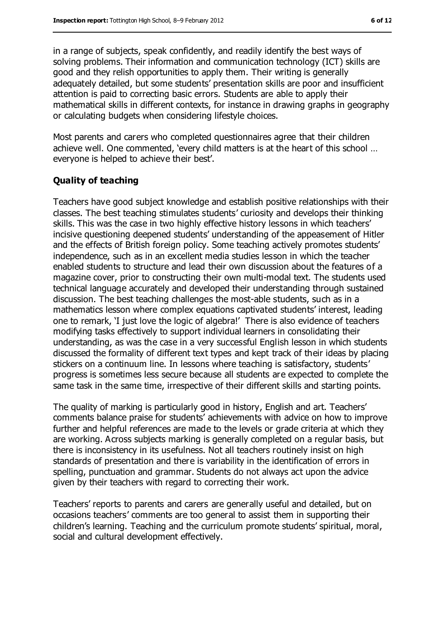in a range of subjects, speak confidently, and readily identify the best ways of solving problems. Their information and communication technology (ICT) skills are good and they relish opportunities to apply them. Their writing is generally adequately detailed, but some students' presentation skills are poor and insufficient attention is paid to correcting basic errors. Students are able to apply their mathematical skills in different contexts, for instance in drawing graphs in geography or calculating budgets when considering lifestyle choices.

Most parents and carers who completed questionnaires agree that their children achieve well. One commented, 'every child matters is at the heart of this school … everyone is helped to achieve their best'.

#### **Quality of teaching**

Teachers have good subject knowledge and establish positive relationships with their classes. The best teaching stimulates students' curiosity and develops their thinking skills. This was the case in two highly effective history lessons in which teachers' incisive questioning deepened students' understanding of the appeasement of Hitler and the effects of British foreign policy. Some teaching actively promotes students' independence, such as in an excellent media studies lesson in which the teacher enabled students to structure and lead their own discussion about the features of a magazine cover, prior to constructing their own multi-modal text. The students used technical language accurately and developed their understanding through sustained discussion. The best teaching challenges the most-able students, such as in a mathematics lesson where complex equations captivated students' interest, leading one to remark, 'I just love the logic of algebra!' There is also evidence of teachers modifying tasks effectively to support individual learners in consolidating their understanding, as was the case in a very successful English lesson in which students discussed the formality of different text types and kept track of their ideas by placing stickers on a continuum line. In lessons where teaching is satisfactory, students' progress is sometimes less secure because all students are expected to complete the same task in the same time, irrespective of their different skills and starting points.

The quality of marking is particularly good in history, English and art. Teachers' comments balance praise for students' achievements with advice on how to improve further and helpful references are made to the levels or grade criteria at which they are working. Across subjects marking is generally completed on a regular basis, but there is inconsistency in its usefulness. Not all teachers routinely insist on high standards of presentation and there is variability in the identification of errors in spelling, punctuation and grammar. Students do not always act upon the advice given by their teachers with regard to correcting their work.

Teachers' reports to parents and carers are generally useful and detailed, but on occasions teachers' comments are too general to assist them in supporting their children's learning. Teaching and the curriculum promote students' spiritual, moral, social and cultural development effectively.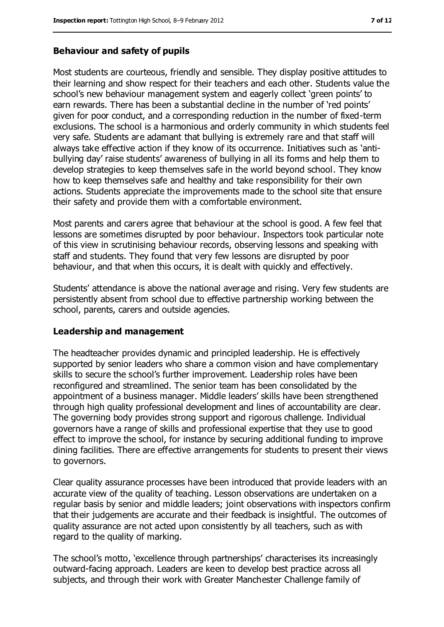#### **Behaviour and safety of pupils**

Most students are courteous, friendly and sensible. They display positive attitudes to their learning and show respect for their teachers and each other. Students value the school's new behaviour management system and eagerly collect 'green points' to earn rewards. There has been a substantial decline in the number of 'red points' given for poor conduct, and a corresponding reduction in the number of fixed-term exclusions. The school is a harmonious and orderly community in which students feel very safe. Students are adamant that bullying is extremely rare and that staff will always take effective action if they know of its occurrence. Initiatives such as 'antibullying day' raise students' awareness of bullying in all its forms and help them to develop strategies to keep themselves safe in the world beyond school. They know how to keep themselves safe and healthy and take responsibility for their own actions. Students appreciate the improvements made to the school site that ensure their safety and provide them with a comfortable environment.

Most parents and carers agree that behaviour at the school is good. A few feel that lessons are sometimes disrupted by poor behaviour. Inspectors took particular note of this view in scrutinising behaviour records, observing lessons and speaking with staff and students. They found that very few lessons are disrupted by poor behaviour, and that when this occurs, it is dealt with quickly and effectively.

Students' attendance is above the national average and rising. Very few students are persistently absent from school due to effective partnership working between the school, parents, carers and outside agencies.

#### **Leadership and management**

The headteacher provides dynamic and principled leadership. He is effectively supported by senior leaders who share a common vision and have complementary skills to secure the school's further improvement. Leadership roles have been reconfigured and streamlined. The senior team has been consolidated by the appointment of a business manager. Middle leaders' skills have been strengthened through high quality professional development and lines of accountability are clear. The governing body provides strong support and rigorous challenge. Individual governors have a range of skills and professional expertise that they use to good effect to improve the school, for instance by securing additional funding to improve dining facilities. There are effective arrangements for students to present their views to governors.

Clear quality assurance processes have been introduced that provide leaders with an accurate view of the quality of teaching. Lesson observations are undertaken on a regular basis by senior and middle leaders; joint observations with inspectors confirm that their judgements are accurate and their feedback is insightful. The outcomes of quality assurance are not acted upon consistently by all teachers, such as with regard to the quality of marking.

The school's motto, 'excellence through partnerships' characterises its increasingly outward-facing approach. Leaders are keen to develop best practice across all subjects, and through their work with Greater Manchester Challenge family of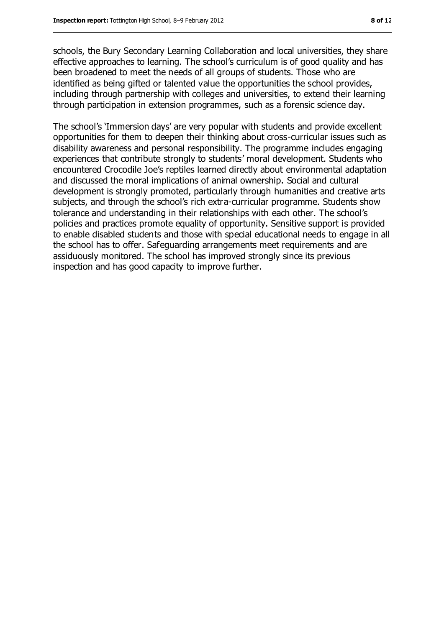schools, the Bury Secondary Learning Collaboration and local universities, they share effective approaches to learning. The school's curriculum is of good quality and has been broadened to meet the needs of all groups of students. Those who are identified as being gifted or talented value the opportunities the school provides, including through partnership with colleges and universities, to extend their learning through participation in extension programmes, such as a forensic science day.

The school's 'Immersion days' are very popular with students and provide excellent opportunities for them to deepen their thinking about cross-curricular issues such as disability awareness and personal responsibility. The programme includes engaging experiences that contribute strongly to students' moral development. Students who encountered Crocodile Joe's reptiles learned directly about environmental adaptation and discussed the moral implications of animal ownership. Social and cultural development is strongly promoted, particularly through humanities and creative arts subjects, and through the school's rich extra-curricular programme. Students show tolerance and understanding in their relationships with each other. The school's policies and practices promote equality of opportunity. Sensitive support is provided to enable disabled students and those with special educational needs to engage in all the school has to offer. Safeguarding arrangements meet requirements and are assiduously monitored. The school has improved strongly since its previous inspection and has good capacity to improve further.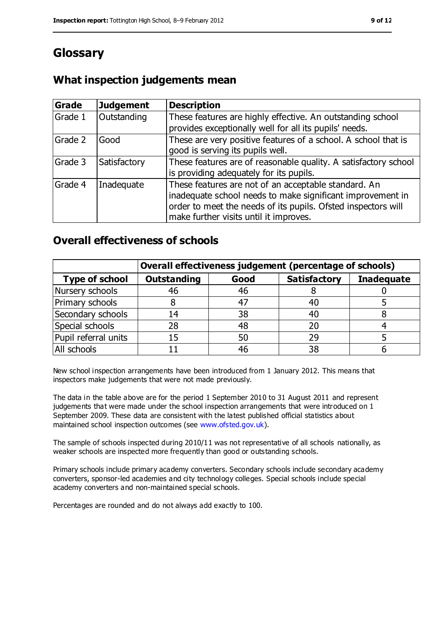# **Glossary**

### **What inspection judgements mean**

| Grade   | <b>Judgement</b> | <b>Description</b>                                                                                                                                                                                                            |
|---------|------------------|-------------------------------------------------------------------------------------------------------------------------------------------------------------------------------------------------------------------------------|
| Grade 1 | Outstanding      | These features are highly effective. An outstanding school<br>provides exceptionally well for all its pupils' needs.                                                                                                          |
| Grade 2 | Good             | These are very positive features of a school. A school that is<br>good is serving its pupils well.                                                                                                                            |
| Grade 3 | Satisfactory     | These features are of reasonable quality. A satisfactory school<br>is providing adequately for its pupils.                                                                                                                    |
| Grade 4 | Inadequate       | These features are not of an acceptable standard. An<br>inadequate school needs to make significant improvement in<br>order to meet the needs of its pupils. Ofsted inspectors will<br>make further visits until it improves. |

### **Overall effectiveness of schools**

|                       | Overall effectiveness judgement (percentage of schools) |      |                     |                   |
|-----------------------|---------------------------------------------------------|------|---------------------|-------------------|
| <b>Type of school</b> | <b>Outstanding</b>                                      | Good | <b>Satisfactory</b> | <b>Inadequate</b> |
| Nursery schools       | 46                                                      | 46   |                     |                   |
| Primary schools       |                                                         | 47   | 40                  |                   |
| Secondary schools     | 14                                                      | 38   | 40                  |                   |
| Special schools       | 28                                                      | 48   | 20                  |                   |
| Pupil referral units  | 15                                                      | 50   | 29                  |                   |
| All schools           |                                                         | 46   | 38                  |                   |

New school inspection arrangements have been introduced from 1 January 2012. This means that inspectors make judgements that were not made previously.

The data in the table above are for the period 1 September 2010 to 31 August 2011 and represent judgements that were made under the school inspection arrangements that were introduced on 1 September 2009. These data are consistent with the latest published official statistics about maintained school inspection outcomes (see [www.ofsted.gov.uk\)](../../../../sgornall/AppData/Local/AppData/Local/Microsoft/Windows/Temporary%20Internet%20Files/Low/Content.IE5/Content.IE5/I81WO4AD/www.ofsted.gov.uk).

The sample of schools inspected during 2010/11 was not representative of all schools nationally, as weaker schools are inspected more frequently than good or outstanding schools.

Primary schools include primary academy converters. Secondary schools include secondary academy converters, sponsor-led academies and city technology colleges. Special schools include special academy converters and non-maintained special schools.

Percentages are rounded and do not always add exactly to 100.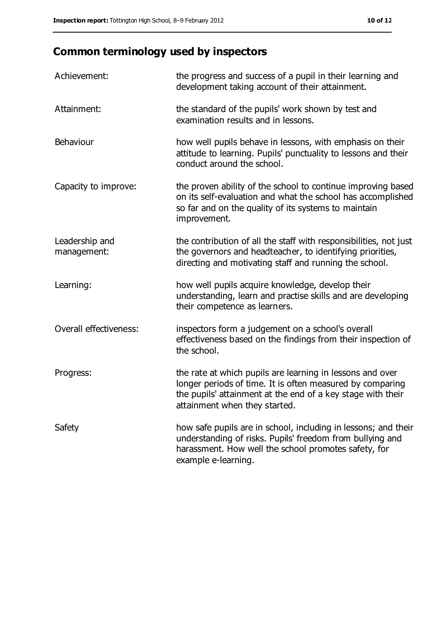# **Common terminology used by inspectors**

| Achievement:                  | the progress and success of a pupil in their learning and<br>development taking account of their attainment.                                                                                                           |
|-------------------------------|------------------------------------------------------------------------------------------------------------------------------------------------------------------------------------------------------------------------|
| Attainment:                   | the standard of the pupils' work shown by test and<br>examination results and in lessons.                                                                                                                              |
| Behaviour                     | how well pupils behave in lessons, with emphasis on their<br>attitude to learning. Pupils' punctuality to lessons and their<br>conduct around the school.                                                              |
| Capacity to improve:          | the proven ability of the school to continue improving based<br>on its self-evaluation and what the school has accomplished<br>so far and on the quality of its systems to maintain<br>improvement.                    |
| Leadership and<br>management: | the contribution of all the staff with responsibilities, not just<br>the governors and headteacher, to identifying priorities,<br>directing and motivating staff and running the school.                               |
| Learning:                     | how well pupils acquire knowledge, develop their<br>understanding, learn and practise skills and are developing<br>their competence as learners.                                                                       |
| Overall effectiveness:        | inspectors form a judgement on a school's overall<br>effectiveness based on the findings from their inspection of<br>the school.                                                                                       |
| Progress:                     | the rate at which pupils are learning in lessons and over<br>longer periods of time. It is often measured by comparing<br>the pupils' attainment at the end of a key stage with their<br>attainment when they started. |
| Safety                        | how safe pupils are in school, including in lessons; and their<br>understanding of risks. Pupils' freedom from bullying and<br>harassment. How well the school promotes safety, for<br>example e-learning.             |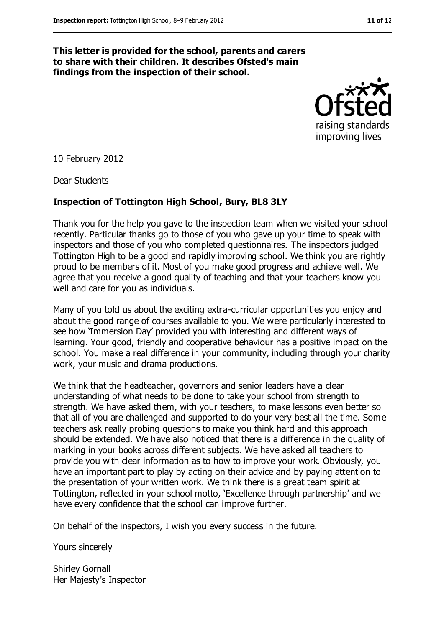#### **This letter is provided for the school, parents and carers to share with their children. It describes Ofsted's main findings from the inspection of their school.**



10 February 2012

Dear Students

#### **Inspection of Tottington High School, Bury, BL8 3LY**

Thank you for the help you gave to the inspection team when we visited your school recently. Particular thanks go to those of you who gave up your time to speak with inspectors and those of you who completed questionnaires. The inspectors judged Tottington High to be a good and rapidly improving school. We think you are rightly proud to be members of it. Most of you make good progress and achieve well. We agree that you receive a good quality of teaching and that your teachers know you well and care for you as individuals.

Many of you told us about the exciting extra-curricular opportunities you enjoy and about the good range of courses available to you. We were particularly interested to see how 'Immersion Day' provided you with interesting and different ways of learning. Your good, friendly and cooperative behaviour has a positive impact on the school. You make a real difference in your community, including through your charity work, your music and drama productions.

We think that the headteacher, governors and senior leaders have a clear understanding of what needs to be done to take your school from strength to strength. We have asked them, with your teachers, to make lessons even better so that all of you are challenged and supported to do your very best all the time. Some teachers ask really probing questions to make you think hard and this approach should be extended. We have also noticed that there is a difference in the quality of marking in your books across different subjects. We have asked all teachers to provide you with clear information as to how to improve your work. Obviously, you have an important part to play by acting on their advice and by paying attention to the presentation of your written work. We think there is a great team spirit at Tottington, reflected in your school motto, 'Excellence through partnership' and we have every confidence that the school can improve further.

On behalf of the inspectors, I wish you every success in the future.

Yours sincerely

Shirley Gornall Her Majesty's Inspector